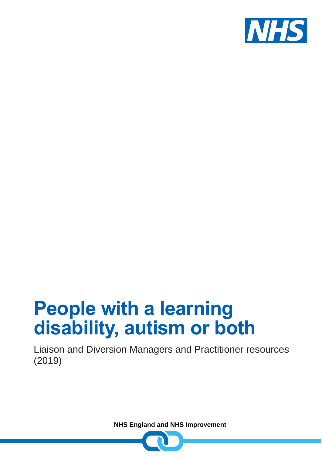

# **People with a learning disability, autism or both**

Liaison and Diversion Managers and Practitioner resources (2019)

**NHS England and NHS Improvement**

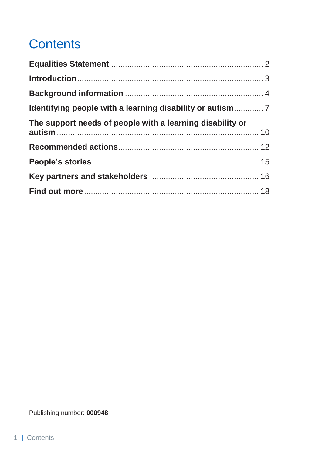# **Contents**

| The support needs of people with a learning disability or |  |
|-----------------------------------------------------------|--|
|                                                           |  |
|                                                           |  |
|                                                           |  |
|                                                           |  |
|                                                           |  |

Publishing number: **000948**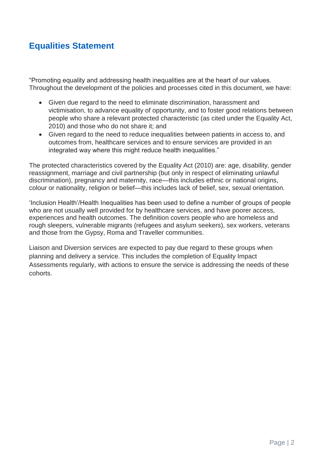#### <span id="page-2-0"></span>**Equalities Statement**

"Promoting equality and addressing health inequalities are at the heart of our values. Throughout the development of the policies and processes cited in this document, we have:

- Given due regard to the need to eliminate discrimination, harassment and victimisation, to advance equality of opportunity, and to foster good relations between people who share a relevant protected characteristic (as cited under the Equality Act, 2010) and those who do not share it; and
- Given regard to the need to reduce inequalities between patients in access to, and outcomes from, healthcare services and to ensure services are provided in an integrated way where this might reduce health inequalities."

The protected characteristics covered by the Equality Act (2010) are: age, disability, gender reassignment, marriage and civil partnership (but only in respect of eliminating unlawful discrimination), pregnancy and maternity, race—this includes ethnic or national origins, colour or nationality, religion or belief—this includes lack of belief, sex, sexual orientation.

'Inclusion Health'/Health Inequalities has been used to define a number of groups of people who are not usually well provided for by healthcare services, and have poorer access, experiences and health outcomes. The definition covers people who are homeless and rough sleepers, vulnerable migrants (refugees and asylum seekers), sex workers, veterans and those from the Gypsy, Roma and Traveller communities.

Liaison and Diversion services are expected to pay due regard to these groups when planning and delivery a service. This includes the completion of Equality Impact Assessments regularly, with actions to ensure the service is addressing the needs of these cohorts.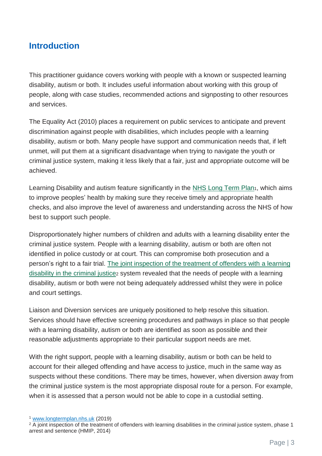#### <span id="page-3-0"></span>**Introduction**

This practitioner guidance covers working with people with a known or suspected learning disability, autism or both. It includes useful information about working with this group of people, along with case studies, recommended actions and signposting to other resources and services.

The Equality Act (2010) places a requirement on public services to anticipate and prevent discrimination against people with disabilities, which includes people with a learning disability, autism or both. Many people have support and communication needs that, if left unmet, will put them at a significant disadvantage when trying to navigate the youth or criminal justice system, making it less likely that a fair, just and appropriate outcome will be achieved.

Learning Disability [and autism feature significantly in the NHS Long Term Plan](https://www.longtermplan.nhs.uk/areas-of-work/learning-disability-autism/)<sub>1</sub>, which aims to improve peoples' health by making sure they receive timely and appropriate health checks, and also improve the level of awareness and understanding across the NHS of how best to support such people.

Disproportionately higher numbers of children and adults with a learning disability enter the criminal justice system. People with a learning disability, autism or both are often not identified in police custody or at court. This can compromise both prosecution and a person's right to a fair trial. The [joint inspection of the treatment of offenders with a learning](https://webarchive.nationalarchives.gov.uk/20140204185858/http:/www.justice.gov.uk/downloads/publications/inspectorate-reports/hmiprobation/learning-disabilities-thematic-report.pdf)  disability [in the criminal justice](https://webarchive.nationalarchives.gov.uk/20140204185858/http:/www.justice.gov.uk/downloads/publications/inspectorate-reports/hmiprobation/learning-disabilities-thematic-report.pdf)<sub>2</sub> system revealed that the needs of people with a learning disability, autism or both were not being adequately addressed whilst they were in police and court settings.

Liaison and Diversion services are uniquely positioned to help resolve this situation. Services should have effective screening procedures and pathways in place so that people with a learning disability, autism or both are identified as soon as possible and their reasonable adjustments appropriate to their particular support needs are met.

With the right support, people with a learning disability, autism or both can be held to account for their alleged offending and have access to justice, much in the same way as suspects without these conditions. There may be times, however, when diversion away from the criminal justice system is the most appropriate disposal route for a person. For example, when it is assessed that a person would not be able to cope in a custodial setting.

<sup>1</sup> [www.longtermplan.nhs.uk](http://www.longtermplan.nhs.uk/) (2019)

<sup>&</sup>lt;sup>2</sup> A joint inspection of the treatment of offenders with learning disabilities in the criminal justice system, phase 1 arrest and sentence (HMIP, 2014)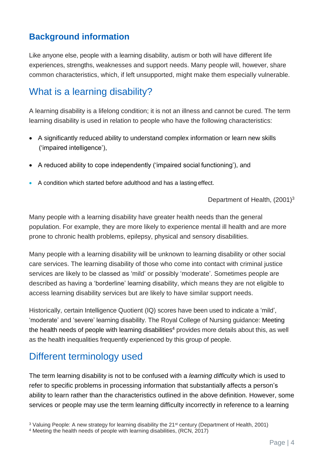#### <span id="page-4-0"></span>**Background information**

Like anyone else, people with a learning disability, autism or both will have different life experiences, strengths, weaknesses and support needs. Many people will, however, share common characteristics, which, if left unsupported, might make them especially vulnerable.

# What is a learning disability?

A learning disability is a lifelong condition; it is not an illness and cannot be cured. The term learning disability is used in relation to people who have the following characteristics:

- A significantly reduced ability to understand complex information or learn new skills ('impaired intelligence'),
- A reduced ability to cope independently ('impaired social functioning'), and
- A condition which started before adulthood and has a lasting effect.

Department of Health, (2001)<sup>3</sup>

Many people with a learning disability have greater health needs than the general population. For example, they are more likely to experience mental ill health and are more prone to chronic health problems, epilepsy, physical and sensory disabilities.

Many people with a learning disability will be unknown to learning disability or other social care services. The learning disability of those who come into contact with criminal justice services are likely to be classed as 'mild' or possibly 'moderate'. Sometimes people are described as having a 'borderline' learning disability, which means they are not eligible to access learning disability services but are likely to have similar support needs.

Historically, certain Intelligence Quotient (IQ) scores have been used to indicate a 'mild', 'moderate' and 'severe' learning disability. The Royal College of Nursing guidance: Meeting the health needs of people with learning disabilities<sup>4</sup> provides more details about this, as well as the health inequalities frequently experienced by this group of people.

# Different terminology used

The term learning disability is not to be confused with a *learning difficulty* which is used to refer to specific problems in processing information that substantially affects a person's ability to learn rather than the characteristics outlined in the above definition. However, some services or people may use the term learning difficulty incorrectly in reference to a learning

<sup>&</sup>lt;sup>3</sup> Valuing People: A new strategy for learning disability the 21<sup>st</sup> century (Department of Health, 2001)

<sup>4</sup> Meeting the health needs of people with learning disabilities, (RCN, 2017)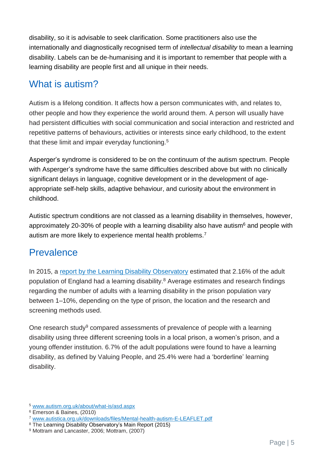disability, so it is advisable to seek clarification. Some practitioners also use the internationally and diagnostically recognised term of *intellectual disability* to mean a learning disability. Labels can be de-humanising and it is important to remember that people with a learning disability are people first and all unique in their needs.

# What is autism?

Autism is a lifelong condition. It affects how a person communicates with, and relates to, other people and how they experience the world around them. A person will usually have had persistent difficulties with social communication and social interaction and restricted and repetitive patterns of behaviours, activities or interests since early childhood, to the extent that these limit and impair everyday functioning.<sup>5</sup>

Asperger's syndrome is considered to be on the continuum of the autism spectrum. People with Asperger's syndrome have the same difficulties described above but with no clinically significant delays in language, cognitive development or in the development of ageappropriate self-help skills, adaptive behaviour, and curiosity about the environment in childhood.

Autistic spectrum conditions are not classed as a learning disability in themselves, however, approximately 20-30% of people with a learning disability also have autism<sup>6</sup> and people with autism are more likely to experience mental health problems.<sup>7</sup>

# **Prevalence**

In 2015, a [report by the Learning Disability Observatory](https://www.gov.uk/government/publications/people-with-learning-disabilities-in-england-2015) estimated that 2.16% of the adult population of England had a learning disability. <sup>8</sup> Average estimates and research findings regarding the number of adults with a learning disability in the prison population vary between 1–10%, depending on the type of prison, the location and the research and screening methods used.

One research study<sup>9</sup> compared assessments of prevalence of people with a learning disability using three different screening tools in a local prison, a women's prison, and a young offender institution. 6.7% of the adult populations were found to have a learning disability, as defined by Valuing People, and 25.4% were had a 'borderline' learning disability.

<sup>5</sup> [www.autism.org.uk/about/what-is/asd.aspx](http://www.autism.org.uk/about/what-is/asd.aspx)

<sup>6</sup> Emerson & Baines, (2010)

<sup>7</sup> [www.autistica.org.uk/downloads/files/Mental-health-autism-E-LEAFLET.pdf](http://www.autistica.org.uk/downloads/files/Mental-health-autism-E-LEAFLET.pdf)

<sup>8</sup> The Learning Disability Observatory's Main Report (2015)

<sup>9</sup> Mottram and Lancaster, 2006; Mottram, (2007)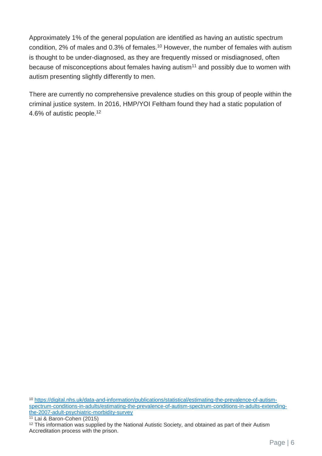Approximately 1% of the general population are identified as having an autistic spectrum condition, 2% of males and 0.3% of females.<sup>10</sup> However, the number of females with autism is thought to be under-diagnosed, as they are frequently missed or misdiagnosed, often because of misconceptions about females having autism<sup>11</sup> and possibly due to women with autism presenting slightly differently to men.

There are currently no comprehensive prevalence studies on this group of people within the criminal justice system. In 2016, HMP/YOI Feltham found they had a static population of 4.6% of autistic people.<sup>12</sup>

<sup>10</sup> [https://digital.nhs.uk/data-and-information/publications/statistical/estimating-the-prevalence-of-autism](https://digital.nhs.uk/data-and-information/publications/statistical/estimating-the-prevalence-of-autism-spectrum-conditions-in-adults/estimating-the-prevalence-of-autism-spectrum-conditions-in-adults-extending-the-2007-adult-psychiatric-morbidity-survey)[spectrum-conditions-in-adults/estimating-the-prevalence-of-autism-spectrum-conditions-in-adults-extending](https://digital.nhs.uk/data-and-information/publications/statistical/estimating-the-prevalence-of-autism-spectrum-conditions-in-adults/estimating-the-prevalence-of-autism-spectrum-conditions-in-adults-extending-the-2007-adult-psychiatric-morbidity-survey)[the-2007-adult-psychiatric-morbidity-survey](https://digital.nhs.uk/data-and-information/publications/statistical/estimating-the-prevalence-of-autism-spectrum-conditions-in-adults/estimating-the-prevalence-of-autism-spectrum-conditions-in-adults-extending-the-2007-adult-psychiatric-morbidity-survey)

<sup>11</sup> Lai & Baron-Cohen (2015)

<sup>12</sup> This information was supplied by the National Autistic Society, and obtained as part of their Autism Accreditation process with the prison.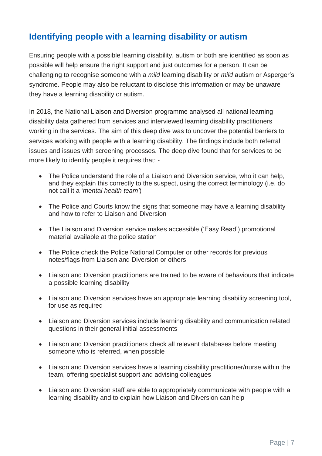#### <span id="page-7-0"></span>**Identifying people with a learning disability or autism**

Ensuring people with a possible learning disability, autism or both are identified as soon as possible will help ensure the right support and just outcomes for a person. It can be challenging to recognise someone with a *mild* learning disability or *mild* autism or Asperger's syndrome. People may also be reluctant to disclose this information or may be unaware they have a learning disability or autism.

In 2018, the National Liaison and Diversion programme analysed all national learning disability data gathered from services and interviewed learning disability practitioners working in the services. The aim of this deep dive was to uncover the potential barriers to services working with people with a learning disability. The findings include both referral issues and issues with screening processes. The deep dive found that for services to be more likely to identify people it requires that: -

- The Police understand the role of a Liaison and Diversion service, who it can help, and they explain this correctly to the suspect, using the correct terminology (i.e. do not call it a '*mental health team'*)
- The Police and Courts know the signs that someone may have a learning disability and how to refer to Liaison and Diversion
- The Liaison and Diversion service makes accessible ('Easy Read') promotional material available at the police station
- The Police check the Police National Computer or other records for previous notes/flags from Liaison and Diversion or others
- Liaison and Diversion practitioners are trained to be aware of behaviours that indicate a possible learning disability
- Liaison and Diversion services have an appropriate learning disability screening tool, for use as required
- Liaison and Diversion services include learning disability and communication related questions in their general initial assessments
- Liaison and Diversion practitioners check all relevant databases before meeting someone who is referred, when possible
- Liaison and Diversion services have a learning disability practitioner/nurse within the team, offering specialist support and advising colleagues
- Liaison and Diversion staff are able to appropriately communicate with people with a learning disability and to explain how Liaison and Diversion can help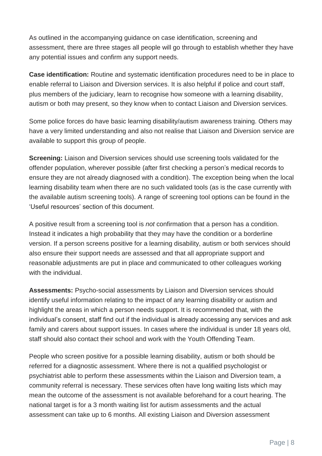As outlined in the accompanying guidance on case identification, screening and assessment, there are three stages all people will go through to establish whether they have any potential issues and confirm any support needs.

**Case identification:** Routine and systematic identification procedures need to be in place to enable referral to Liaison and Diversion services. It is also helpful if police and court staff, plus members of the judiciary, learn to recognise how someone with a learning disability, autism or both may present, so they know when to contact Liaison and Diversion services.

Some police forces do have basic learning disability/autism awareness training. Others may have a very limited understanding and also not realise that Liaison and Diversion service are available to support this group of people.

**Screening:** Liaison and Diversion services should use screening tools validated for the offender population, wherever possible (after first checking a person's medical records to ensure they are not already diagnosed with a condition). The exception being when the local learning disability team when there are no such validated tools (as is the case currently with the available autism screening tools). A range of screening tool options can be found in the 'Useful resources' section of this document.

A positive result from a screening tool is *not* confirmation that a person has a condition. Instead it indicates a high probability that they may have the condition or a borderline version. If a person screens positive for a learning disability, autism or both services should also ensure their support needs are assessed and that all appropriate support and reasonable adjustments are put in place and communicated to other colleagues working with the individual.

**Assessments:** Psycho-social assessments by Liaison and Diversion services should identify useful information relating to the impact of any learning disability or autism and highlight the areas in which a person needs support. It is recommended that, with the individual's consent, staff find out if the individual is already accessing any services and ask family and carers about support issues. In cases where the individual is under 18 years old, staff should also contact their school and work with the Youth Offending Team.

People who screen positive for a possible learning disability, autism or both should be referred for a diagnostic assessment. Where there is not a qualified psychologist or psychiatrist able to perform these assessments within the Liaison and Diversion team, a community referral is necessary. These services often have long waiting lists which may mean the outcome of the assessment is not available beforehand for a court hearing. The national target is for a 3 month waiting list for autism assessments and the actual assessment can take up to 6 months. All existing Liaison and Diversion assessment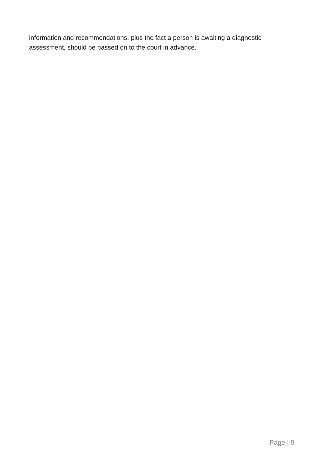information and recommendations, plus the fact a person is awaiting a diagnostic assessment, should be passed on to the court in advance.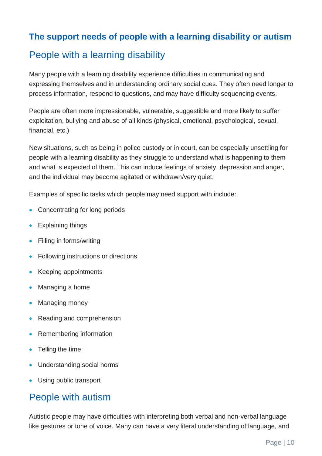#### <span id="page-10-0"></span>**The support needs of people with a learning disability or autism**

# People with a learning disability

Many people with a learning disability experience difficulties in communicating and expressing themselves and in understanding ordinary social cues. They often need longer to process information, respond to questions, and may have difficulty sequencing events.

People are often more impressionable, vulnerable, suggestible and more likely to suffer exploitation, bullying and abuse of all kinds (physical, emotional, psychological, sexual, financial, etc.)

New situations, such as being in police custody or in court, can be especially unsettling for people with a learning disability as they struggle to understand what is happening to them and what is expected of them. This can induce feelings of anxiety, depression and anger, and the individual may become agitated or withdrawn/very quiet.

Examples of specific tasks which people may need support with include:

- Concentrating for long periods
- Explaining things
- Filling in forms/writing
- Following instructions or directions
- Keeping appointments
- Managing a home
- Managing money
- Reading and comprehension
- Remembering information
- Telling the time
- Understanding social norms
- Using public transport

#### People with autism

Autistic people may have difficulties with interpreting both verbal and non-verbal language like gestures or tone of voice. Many can have a very literal understanding of language, and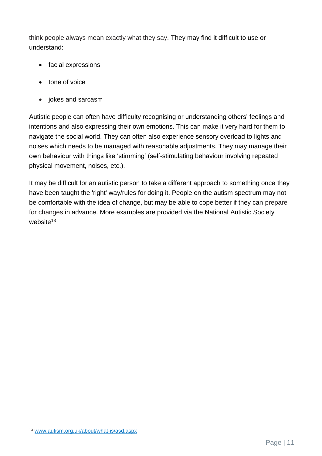think people always mean exactly what they say. They may find it difficult to use or understand:

- facial expressions
- tone of voice
- jokes and sarcasm

Autistic people can often have difficulty recognising or understanding others' feelings and intentions and also expressing their own emotions. This can make it very hard for them to navigate the social world. They can often also experience sensory overload to lights and noises which needs to be managed with reasonable adjustments. They may manage their own behaviour with things like 'stimming' (self-stimulating behaviour involving repeated physical movement, noises, etc.).

It may be difficult for an autistic person to take a different approach to something once they have been taught the 'right' way/rules for doing it. People on the autism spectrum may not be comfortable with the idea of change, but may be able to cope better if they can prepare for changes in advance. More examples are provided via the National Autistic Society website $13$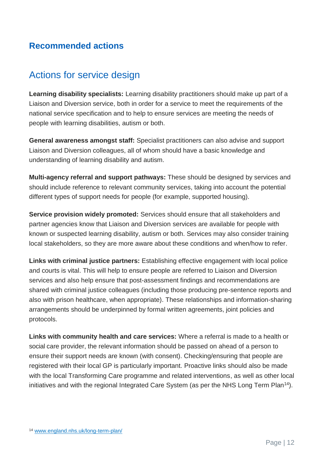#### <span id="page-12-0"></span>**Recommended actions**

# Actions for service design

**Learning disability specialists:** Learning disability practitioners should make up part of a Liaison and Diversion service, both in order for a service to meet the requirements of the national service specification and to help to ensure services are meeting the needs of people with learning disabilities, autism or both.

**General awareness amongst staff:** Specialist practitioners can also advise and support Liaison and Diversion colleagues, all of whom should have a basic knowledge and understanding of learning disability and autism.

**Multi-agency referral and support pathways:** These should be designed by services and should include reference to relevant community services, taking into account the potential different types of support needs for people (for example, supported housing).

**Service provision widely promoted:** Services should ensure that all stakeholders and partner agencies know that Liaison and Diversion services are available for people with known or suspected learning disability, autism or both. Services may also consider training local stakeholders, so they are more aware about these conditions and when/how to refer.

**Links with criminal justice partners:** Establishing effective engagement with local police and courts is vital. This will help to ensure people are referred to Liaison and Diversion services and also help ensure that post-assessment findings and recommendations are shared with criminal justice colleagues (including those producing pre-sentence reports and also with prison healthcare, when appropriate). These relationships and information-sharing arrangements should be underpinned by formal written agreements, joint policies and protocols.

**Links with community health and care services:** Where a referral is made to a health or social care provider, the relevant information should be passed on ahead of a person to ensure their support needs are known (with consent). Checking/ensuring that people are registered with their local GP is particularly important. Proactive links should also be made with the local Transforming Care programme and related interventions, as well as other local initiatives and with the regional Integrated Care System (as per the NHS Long Term Plan<sup>14</sup>).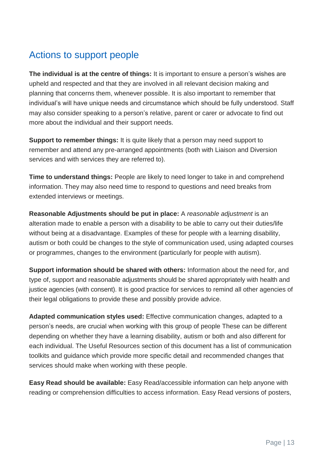# Actions to support people

**The individual is at the centre of things:** It is important to ensure a person's wishes are upheld and respected and that they are involved in all relevant decision making and planning that concerns them, whenever possible. It is also important to remember that individual's will have unique needs and circumstance which should be fully understood. Staff may also consider speaking to a person's relative, parent or carer or advocate to find out more about the individual and their support needs.

**Support to remember things:** It is quite likely that a person may need support to remember and attend any pre-arranged appointments (both with Liaison and Diversion services and with services they are referred to).

**Time to understand things:** People are likely to need longer to take in and comprehend information. They may also need time to respond to questions and need breaks from extended interviews or meetings.

**Reasonable Adjustments should be put in place:** A *reasonable adjustment* is an alteration made to enable a person with a disability to be able to carry out their duties/life without being at a disadvantage. Examples of these for people with a learning disability, autism or both could be changes to the style of communication used, using adapted courses or programmes, changes to the environment (particularly for people with autism).

**Support information should be shared with others:** Information about the need for, and type of, support and reasonable adjustments should be shared appropriately with health and justice agencies (with consent). It is good practice for services to remind all other agencies of their legal obligations to provide these and possibly provide advice.

**Adapted communication styles used:** Effective communication changes, adapted to a person's needs, are crucial when working with this group of people These can be different depending on whether they have a learning disability, autism or both and also different for each individual. The Useful Resources section of this document has a list of communication toolkits and guidance which provide more specific detail and recommended changes that services should make when working with these people.

**Easy Read should be available:** Easy Read/accessible information can help anyone with reading or comprehension difficulties to access information. Easy Read versions of posters,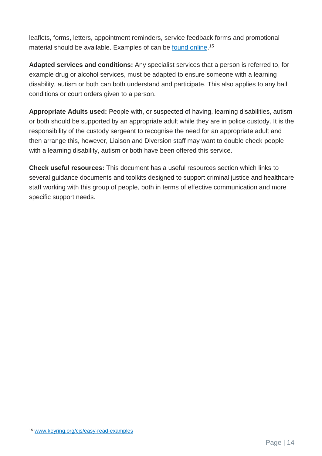leaflets, forms, letters, appointment reminders, service feedback forms and promotional material should be available. Examples of can be <u>found online</u>.<sup>15</sup>

**Adapted services and conditions:** Any specialist services that a person is referred to, for example drug or alcohol services, must be adapted to ensure someone with a learning disability, autism or both can both understand and participate. This also applies to any bail conditions or court orders given to a person.

**Appropriate Adults used:** People with, or suspected of having, learning disabilities, autism or both should be supported by an appropriate adult while they are in police custody. It is the responsibility of the custody sergeant to recognise the need for an appropriate adult and then arrange this, however, Liaison and Diversion staff may want to double check people with a learning disability, autism or both have been offered this service.

**Check useful resources:** This document has a useful resources section which links to several guidance documents and toolkits designed to support criminal justice and healthcare staff working with this group of people, both in terms of effective communication and more specific support needs.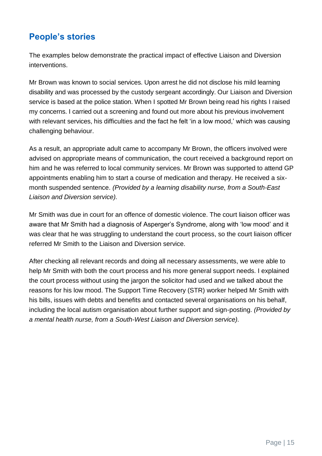#### <span id="page-15-0"></span>**People's stories**

The examples below demonstrate the practical impact of effective Liaison and Diversion interventions.

Mr Brown was known to social services. Upon arrest he did not disclose his mild learning disability and was processed by the custody sergeant accordingly. Our Liaison and Diversion service is based at the police station. When I spotted Mr Brown being read his rights I raised my concerns. I carried out a screening and found out more about his previous involvement with relevant services, his difficulties and the fact he felt 'in a low mood,' which was causing challenging behaviour.

As a result, an appropriate adult came to accompany Mr Brown, the officers involved were advised on appropriate means of communication, the court received a background report on him and he was referred to local community services. Mr Brown was supported to attend GP appointments enabling him to start a course of medication and therapy. He received a sixmonth suspended sentence. *(Provided by a learning disability nurse, from a South-East Liaison and Diversion service).*

Mr Smith was due in court for an offence of domestic violence. The court liaison officer was aware that Mr Smith had a diagnosis of Asperger's Syndrome, along with 'low mood' and it was clear that he was struggling to understand the court process, so the court liaison officer referred Mr Smith to the Liaison and Diversion service.

After checking all relevant records and doing all necessary assessments, we were able to help Mr Smith with both the court process and his more general support needs. I explained the court process without using the jargon the solicitor had used and we talked about the reasons for his low mood. The Support Time Recovery (STR) worker helped Mr Smith with his bills, issues with debts and benefits and contacted several organisations on his behalf, including the local autism organisation about further support and sign-posting. *(Provided by a mental health nurse, from a South-West Liaison and Diversion service).*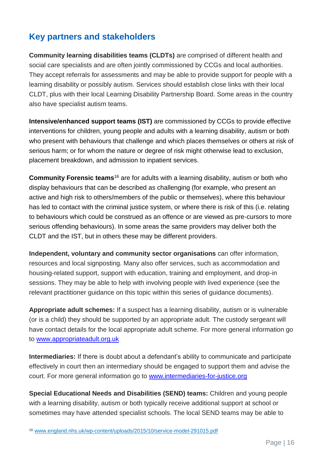#### <span id="page-16-0"></span>**Key partners and stakeholders**

**Community learning disabilities teams (CLDTs)** are comprised of different health and social care specialists and are often jointly commissioned by CCGs and local authorities. They accept referrals for assessments and may be able to provide support for people with a learning disability or possibly autism. Services should establish close links with their local CLDT, plus with their local Learning Disability Partnership Board. Some areas in the country also have specialist autism teams.

**Intensive/enhanced support teams (IST)** are commissioned by CCGs to provide effective interventions for children, young people and adults with a learning disability, autism or both who present with behaviours that challenge and which places themselves or others at risk of serious harm; or for whom the nature or degree of risk might otherwise lead to exclusion, placement breakdown, and admission to inpatient services.

**Community Forensic teams**<sup>16</sup> are for adults with a learning disability, autism or both who display behaviours that can be described as challenging (for example, who present an active and high risk to others/members of the public or themselves), where this behaviour has led to contact with the criminal justice system, or where there is risk of this (i.e. relating to behaviours which could be construed as an offence or are viewed as pre-cursors to more serious offending behaviours). In some areas the same providers may deliver both the CLDT and the IST, but in others these may be different providers.

**Independent, voluntary and community sector organisations** can offer information, resources and local signposting. Many also offer services, such as accommodation and housing-related support, support with education, training and employment, and drop-in sessions. They may be able to help with involving people with lived experience (see the relevant practitioner guidance on this topic within this series of guidance documents).

**Appropriate adult schemes:** If a suspect has a learning disability, autism or is vulnerable (or is a child) they should be supported by an appropriate adult. The custody sergeant will have contact details for the local appropriate adult scheme. For more general information go to [www.appropriateadult.org.uk](http://www.appropriateadult.org.uk/)

**Intermediaries:** If there is doubt about a defendant's ability to communicate and participate effectively in court then an intermediary should be engaged to support them and advise the court. For more general information go to [www.intermediaries-for-justice.org](http://www.intermediaries-for-justice.org/)

**Special Educational Needs and Disabilities (SEND) teams:** Children and young people with a learning disability, autism or both typically receive additional support at school or sometimes may have attended specialist schools. The local SEND teams may be able to

<sup>16</sup> [www.england.nhs.uk/wp-content/uploads/2015/10/service-model-291015.pdf](http://www.england.nhs.uk/wp-content/uploads/2015/10/service-model-291015.pdf)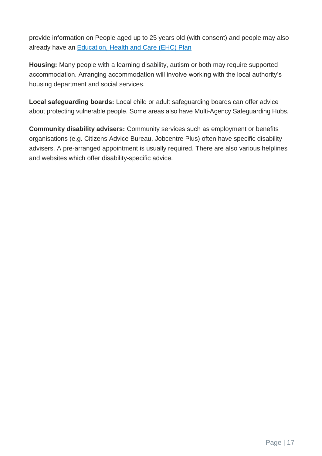provide information on People aged up to 25 years old (with consent) and people may also already have an [Education, Health and Care \(EHC\) Plan](https://www.gov.uk/children-with-special-educational-needs/extra-SEN-help)

**Housing:** Many people with a learning disability, autism or both may require supported accommodation. Arranging accommodation will involve working with the local authority's housing department and social services.

**Local safeguarding boards:** Local child or adult safeguarding boards can offer advice about protecting vulnerable people. Some areas also have Multi-Agency Safeguarding Hubs.

**Community disability advisers:** Community services such as employment or benefits organisations (e.g. Citizens Advice Bureau, Jobcentre Plus) often have specific disability advisers. A pre-arranged appointment is usually required. There are also various helplines and websites which offer disability-specific advice.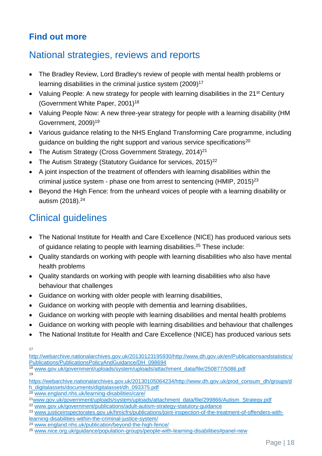#### <span id="page-18-0"></span>**Find out more**

#### National strategies, reviews and reports

- The Bradley Review, Lord Bradley's review of people with mental health problems or learning disabilities in the criminal justice system (2009)<sup>17</sup>
- Valuing People: A new strategy for people with learning disabilities in the 21<sup>st</sup> Century (Government White Paper, 2001)<sup>18</sup>
- Valuing People Now: A new three-year strategy for people with a learning disability (HM Government, 2009)<sup>19</sup>
- Various guidance relating to the NHS England Transforming Care programme, including guidance on building the right support and various service specifications<sup>20</sup>
- The Autism Strategy (Cross Government Strategy, 2014)<sup>21</sup>
- The Autism Strategy (Statutory Guidance for services,  $2015)^{22}$
- A joint inspection of the treatment of offenders with learning disabilities within the criminal justice system - phase one from arrest to sentencing (HMIP,  $2015)^{23}$
- Beyond the High Fence: from the unheard voices of people with a learning disability or autism (2018).<sup>24</sup>

# Clinical guidelines

- The National Institute for Health and Care Excellence (NICE) has produced various sets of guidance relating to people with learning disabilities.<sup>25</sup> These include:
- Quality standards on working with people with learning disabilities who also have mental health problems
- Quality standards on working with people with learning disabilities who also have behaviour that challenges
- Guidance on working with older people with learning disabilities,
- Guidance on working with people with dementia and learning disabilities,
- Guidance on working with people with learning disabilities and mental health problems
- Guidance on working with people with learning disabilities and behaviour that challenges
- The National Institute for Health and Care Excellence (NICE) has produced various sets

17

19

<sup>18</sup> [www.gov.uk/government/uploads/system/uploads/attachment\\_data/file/250877/5086.pdf](http://www.gov.uk/government/uploads/system/uploads/attachment_data/file/250877/5086.pdf)

<sup>22</sup> [www.gov.uk/government/publications/adult-autism-strategy-statutory-guidance](http://www.gov.uk/government/publications/adult-autism-strategy-statutory-guidance)

[http://webarchive.nationalarchives.gov.uk/20130123195930/http://www.dh.gov.uk/en/Publicationsandstatistics/](http://webarchive.nationalarchives.gov.uk/20130123195930/http:/www.dh.gov.uk/en/Publicationsandstatistics/Publications/PublicationsPolicyAndGuidance/DH_098694) [Publications/PublicationsPolicyAndGuidance/DH\\_098694](http://webarchive.nationalarchives.gov.uk/20130123195930/http:/www.dh.gov.uk/en/Publicationsandstatistics/Publications/PublicationsPolicyAndGuidance/DH_098694)

[https://webarchive.nationalarchives.gov.uk/20130105064234/http://www.dh.gov.uk/prod\\_consum\\_dh/groups/d](https://webarchive.nationalarchives.gov.uk/20130105064234/http:/www.dh.gov.uk/prod_consum_dh/groups/dh_digitalassets/documents/digitalasset/dh_093375.pdf) [h\\_digitalassets/documents/digitalasset/dh\\_093375.pdf](https://webarchive.nationalarchives.gov.uk/20130105064234/http:/www.dh.gov.uk/prod_consum_dh/groups/dh_digitalassets/documents/digitalasset/dh_093375.pdf)

<sup>20</sup> [www.england.nhs.uk/learning-disabilities/care/](http://www.england.nhs.uk/learning-disabilities/care/)

<sup>21</sup>[www.gov.uk/government/uploads/system/uploads/attachment\\_data/file/299866/Autism\\_Strategy.pdf](http://www.gov.uk/government/uploads/system/uploads/attachment_data/file/299866/Autism_Strategy.pdf)

<sup>23</sup> [www.justiceinspectorates.gov.uk/hmicfrs/publications/joint-inspection-of-the-treatment-of-offenders-with](http://www.justiceinspectorates.gov.uk/hmicfrs/publications/joint-inspection-of-the-treatment-of-offenders-with-learning-disabilities-within-the-criminal-justice-system/)[learning-disabilities-within-the-criminal-justice-system/](http://www.justiceinspectorates.gov.uk/hmicfrs/publications/joint-inspection-of-the-treatment-of-offenders-with-learning-disabilities-within-the-criminal-justice-system/)

<sup>24</sup> [www.england.nhs.uk/publication/beyond-the-high-fence/](http://www.england.nhs.uk/publication/beyond-the-high-fence/)

<sup>25</sup> [www.nice.org.uk/guidance/population-groups/people-with-learning-disabilities#panel-new](http://www.nice.org.uk/guidance/population-groups/people-with-learning-disabilities#panel-new)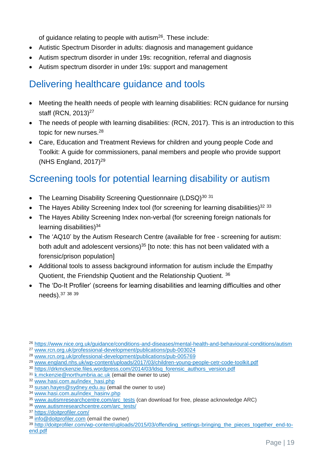of guidance relating to people with autism<sup>26</sup>. These include:

- Autistic Spectrum Disorder in adults: diagnosis and management guidance
- Autism spectrum disorder in under 19s: recognition, referral and diagnosis
- Autism spectrum disorder in under 19s: support and management

# Delivering healthcare guidance and tools

- Meeting the health needs of people with learning disabilities: RCN guidance for nursing staff (RCN, 2013)<sup>27</sup>
- The needs of people with learning disabilities: (RCN, 2017). This is an introduction to this topic for new nurses.<sup>28</sup>
- Care, Education and Treatment Reviews for children and young people Code and Toolkit: A guide for commissioners, panal members and people who provide support (NHS England,  $2017$ )<sup>29</sup>

# Screening tools for potential learning disability or autism

- The Learning Disability Screening Questionnaire (LDSQ)<sup>30 31</sup>
- The Hayes Ability Screening Index tool (for screening for learning disabilities)<sup>32 33</sup>
- The Hayes Ability Screening Index non-verbal (for screening foreign nationals for learning disabilities)<sup>34</sup>
- The 'AQ10' by the Autism Research Centre (available for free screening for autism: both adult and adolescent versions)<sup>35</sup> [to note: this has not been validated with a forensic/prison population]
- Additional tools to assess background information for autism include the Empathy Quotient, the Friendship Quotient and the Relationship Quotient. <sup>36</sup>
- The 'Do-It Profiler' (screens for learning disabilities and learning difficulties and other needs).<sup>37</sup> <sup>38</sup> <sup>39</sup>
- <sup>26</sup> <https://www.nice.org.uk/guidance/conditions-and-diseases/mental-health-and-behavioural-conditions/autism>

<sup>29</sup> [www.england.nhs.uk/wp-content/uploads/2017/03/children-young-people-cetr-code-toolkit.pdf](http://www.england.nhs.uk/wp-content/uploads/2017/03/children-young-people-cetr-code-toolkit.pdf)

<sup>31</sup> [k.mckenzie@northumbria.ac.uk](mailto:k.mckenzie@northumbria.ac.uk) (email the owner to use)

<sup>36</sup> [www.autismresearchcentre.com/arc\\_tests/](http://www.autismresearchcentre.com/arc_tests/)

<sup>27</sup> [www.rcn.org.uk/professional-development/publications/pub-003024](http://www.rcn.org.uk/professional-development/publications/pub-003024)

<sup>28</sup> [www.rcn.org.uk/professional-development/publications/pub-005769](http://www.rcn.org.uk/professional-development/publications/pub-005769)

<sup>30</sup> [https://drkmckenzie.files.wordpress.com/2014/03/ldsq\\_forensic\\_authors\\_version.pdf](https://drkmckenzie.files.wordpress.com/2014/03/ldsq_forensic_authors_version.pdf) 

<sup>32</sup> [www.hasi.com.au/index\\_hasi.php](http://www.hasi.com.au/index_hasi.php)

<sup>33</sup> [susan.hayes@sydney.edu.au](mailto:susan.hayes@sydney.edu.au) (email the owner to use)

<sup>34</sup> [www.hasi.com.au/index\\_hasinv.php](http://www.hasi.com.au/index_hasinv.php)

<sup>35</sup> [www.autismresearchcentre.com/arc\\_tests](http://www.autismresearchcentre.com/arc_tests) (can download for free, please acknowledge ARC)

<sup>37</sup> <https://doitprofiler.com/>

<sup>38</sup> [info@doitprofiler.com](mailto:info@doitprofiler.com) (email the owner)

<sup>39</sup> [http://doitprofiler.com/wp-content/uploads/2015/03/offending\\_settings-bringing\\_the\\_pieces\\_together\\_end-to](http://doitprofiler.com/wp-content/uploads/2015/03/offending_settings-bringing_the_pieces_together_end-to-end.pdf)[end.pdf](http://doitprofiler.com/wp-content/uploads/2015/03/offending_settings-bringing_the_pieces_together_end-to-end.pdf)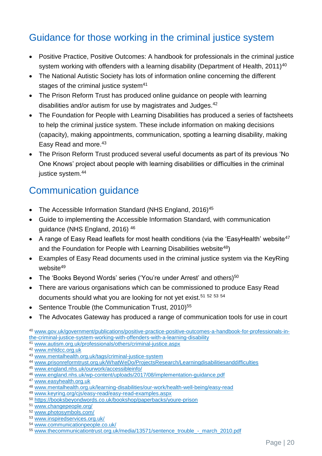# Guidance for those working in the criminal justice system

- Positive Practice, Positive Outcomes: A handbook for professionals in the criminal justice system working with offenders with a learning disability (Department of Health,  $2011$ )<sup>40</sup>
- The National Autistic Society has lots of information online concerning the different stages of the criminal justice system<sup>41</sup>
- The Prison Reform Trust has produced online guidance on people with learning disabilities and/or autism for use by magistrates and Judges.<sup>42</sup>
- The Foundation for People with Learning Disabilities has produced a series of factsheets to help the criminal justice system. These include information on making decisions (capacity), making appointments, communication, spotting a learning disability, making Easy Read and more.<sup>43</sup>
- The Prison Reform Trust produced several useful documents as part of its previous 'No One Knows' project about people with learning disabilities or difficulties in the criminal justice system.<sup>44</sup>

# Communication guidance

- The Accessible Information Standard (NHS England, 2016)<sup>45</sup>
- Guide to implementing the Accessible Information Standard, with communication guidance (NHS England, 2016) <sup>46</sup>
- A range of Easy Read leaflets for most health conditions (via the 'EasyHealth' website<sup>47</sup> and the Foundation for People with Learning Disabilities website<sup>48</sup>)
- Examples of Easy Read documents used in the criminal justice system via the KeyRing website<sup>49</sup>
- The 'Books Beyond Words' series ('You're under Arrest' and others)<sup>50</sup>
- There are various organisations which can be commissioned to produce Easy Read documents should what you are looking for not yet exist.<sup>51 52 53 54</sup>
- Sentence Trouble (the Communication Trust, 2010)<sup>55</sup>
- The Advocates Gateway has produced a range of communication tools for use in court

<sup>40</sup> [www.gov.uk/government/publications/positive-practice-positive-outcomes-a-handbook-for-professionals-in](http://www.gov.uk/government/publications/positive-practice-positive-outcomes-a-handbook-for-professionals-in-the-criminal-justice-system-working-with-offenders-with-a-learning-disability)[the-criminal-justice-system-working-with-offenders-with-a-learning-disability](http://www.gov.uk/government/publications/positive-practice-positive-outcomes-a-handbook-for-professionals-in-the-criminal-justice-system-working-with-offenders-with-a-learning-disability)

<sup>41</sup> [www.autism.org.uk/professionals/others/criminal-justice.aspx](http://www.autism.org.uk/professionals/others/criminal-justice.aspx)

<sup>42</sup> [www.mhldcc.org.uk](http://www.mhldcc.org.uk/) 

- <sup>44</sup> [www.prisonreformtrust.org.uk/WhatWeDo/ProjectsResearch/Learningdisabilitiesanddifficulties](http://www.prisonreformtrust.org.uk/WhatWeDo/ProjectsResearch/Learningdisabilitiesanddifficulties)
- <sup>45</sup> [www.england.nhs.uk/ourwork/accessibleinfo/](http://www.england.nhs.uk/ourwork/accessibleinfo/)

<sup>47</sup> [www.easyhealth.org.uk](http://www.easyhealth.org.uk/)

- <sup>49</sup> [www.keyring.org/cjs/easy-read/easy-read-examples.aspx](http://www.keyring.org/cjs/easy-read/easy-read-examples.aspx)
- <sup>50</sup> <https://booksbeyondwords.co.uk/bookshop/paperbacks/youre-prison>
- <sup>51</sup> [www.changepeople.org/](http://www.changepeople.org/)
- <sup>52</sup> [www.photosymbols.com/](http://www.photosymbols.com/)
- <sup>53</sup> [www.inspiredservices.org.uk/](http://www.inspiredservices.org.uk/)
- <sup>54</sup> [www.communicationpeople.co.uk/](http://www.communicationpeople.co.uk/)
- <sup>55</sup> [www.thecommunicationtrust.org.uk/media/13571/sentence\\_trouble\\_-\\_march\\_2010.pdf](http://www.thecommunicationtrust.org.uk/media/13571/sentence_trouble_-_march_2010.pdf)

<sup>43</sup> [www.mentalhealth.org.uk/tags/criminal-justice-system](http://www.mentalhealth.org.uk/tags/criminal-justice-system)

<sup>46</sup> [www.england.nhs.uk/wp-content/uploads/2017/08/implementation-guidance.pdf](http://www.england.nhs.uk/wp-content/uploads/2017/08/implementation-guidance.pdf)

<sup>48</sup> [www.mentalhealth.org.uk/learning-disabilities/our-work/health-well-being/easy-read](http://www.mentalhealth.org.uk/learning-disabilities/our-work/health-well-being/easy-read)